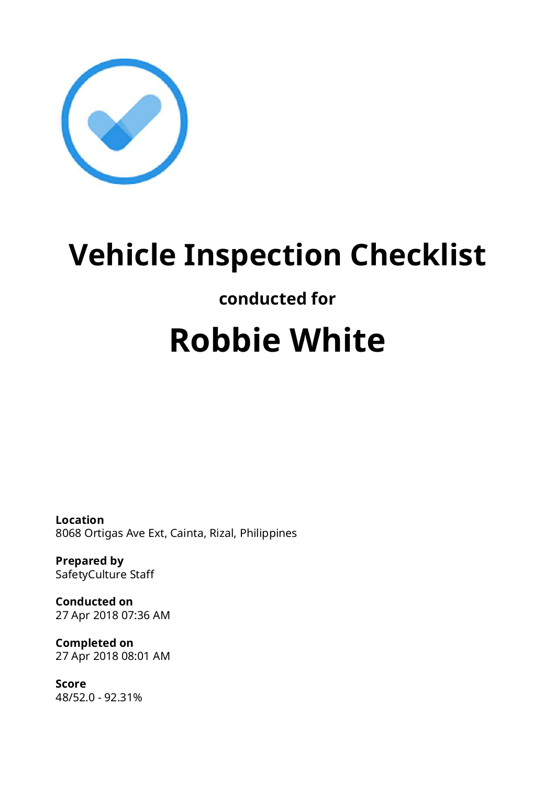

## **Vehicle Inspection Checklist**

### **conducted for**

# **Robbie White**

**Location** 8068 Ortigas Ave Ext, Cainta, Rizal, Philippines

**Prepared by** SafetyCulture Staff

**Conducted on** 27 Apr 2018 07:36 AM

**Completed on** 27 Apr 2018 08:01 AM

**Score** 48/52.0 - 92.31%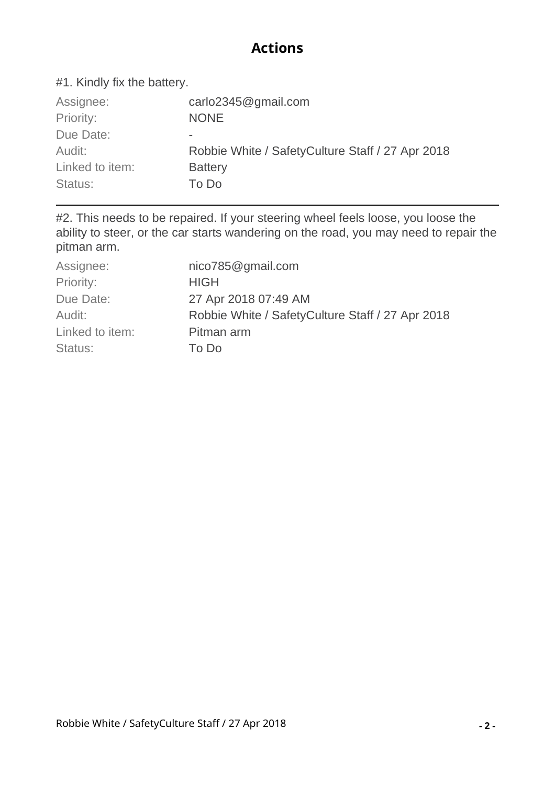#### **Actions**

#### #1. Kindly fix the battery.

| Assignee:       | carlo2345@gmail.com                               |
|-----------------|---------------------------------------------------|
| Priority:       | <b>NONE</b>                                       |
| Due Date:       | $\sim$                                            |
| Audit:          | Robbie White / Safety Culture Staff / 27 Apr 2018 |
| Linked to item: | <b>Battery</b>                                    |
| Status:         | To Do                                             |

#2. This needs to be repaired. If your steering wheel feels loose, you loose the ability to steer, or the car starts wandering on the road, you may need to repair the pitman arm.

| Assignee:       | nico785@gmail.com                                 |
|-----------------|---------------------------------------------------|
| Priority:       | <b>HIGH</b>                                       |
| Due Date:       | 27 Apr 2018 07:49 AM                              |
| Audit:          | Robbie White / Safety Culture Staff / 27 Apr 2018 |
| Linked to item: | Pitman arm                                        |
| Status:         | To Do                                             |
|                 |                                                   |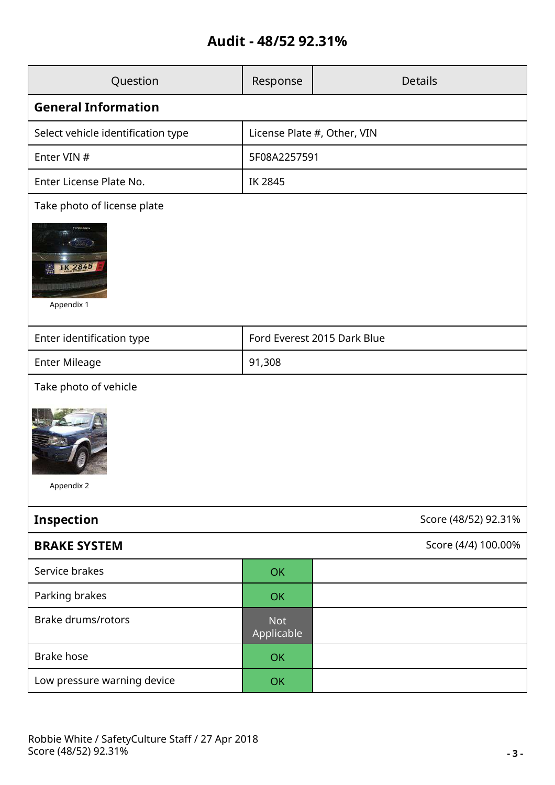#### **Audit - 48/52 92.31%**

| Question                                      | Response                    | <b>Details</b>      |  |  |
|-----------------------------------------------|-----------------------------|---------------------|--|--|
| <b>General Information</b>                    |                             |                     |  |  |
| Select vehicle identification type            | License Plate #, Other, VIN |                     |  |  |
| Enter VIN #                                   | 5F08A2257591                |                     |  |  |
| Enter License Plate No.                       | IK 2845                     |                     |  |  |
| Take photo of license plate                   |                             |                     |  |  |
| .<br>Stanik S<br><b>IK 2845</b><br>Appendix 1 |                             |                     |  |  |
| Enter identification type                     | Ford Everest 2015 Dark Blue |                     |  |  |
| <b>Enter Mileage</b>                          | 91,308                      |                     |  |  |
| Take photo of vehicle                         |                             |                     |  |  |
| Appendix 2                                    |                             |                     |  |  |
| <b>Inspection</b><br>Score (48/52) 92.31%     |                             |                     |  |  |
| <b>BRAKE SYSTEM</b>                           |                             | Score (4/4) 100.00% |  |  |
| Service brakes                                | OK                          |                     |  |  |
| Parking brakes                                | <b>OK</b>                   |                     |  |  |
| <b>Brake drums/rotors</b>                     | <b>Not</b><br>Applicable    |                     |  |  |
| <b>Brake hose</b>                             | OK                          |                     |  |  |
| Low pressure warning device                   | OK                          |                     |  |  |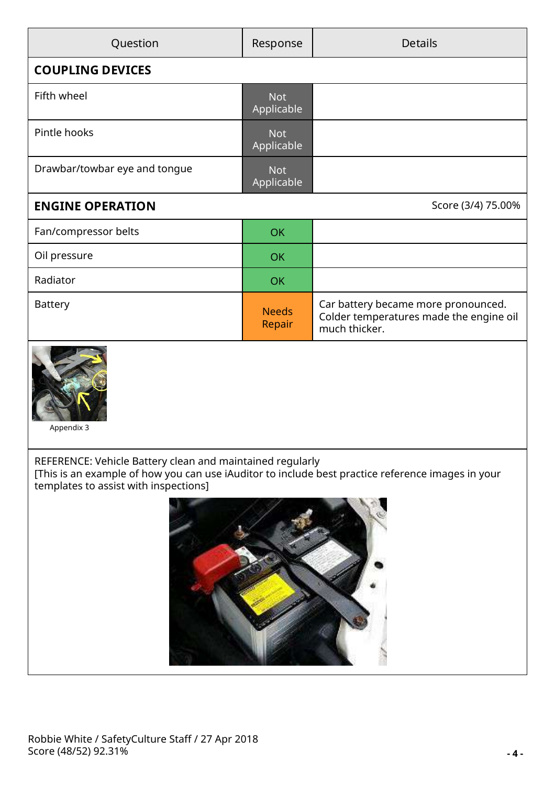| Question                      | Response                 | <b>Details</b>                                                                                  |  |
|-------------------------------|--------------------------|-------------------------------------------------------------------------------------------------|--|
| <b>COUPLING DEVICES</b>       |                          |                                                                                                 |  |
| Fifth wheel                   | <b>Not</b><br>Applicable |                                                                                                 |  |
| Pintle hooks                  | <b>Not</b><br>Applicable |                                                                                                 |  |
| Drawbar/towbar eye and tongue | <b>Not</b><br>Applicable |                                                                                                 |  |
| <b>ENGINE OPERATION</b>       |                          | Score (3/4) 75.00%                                                                              |  |
| Fan/compressor belts          | <b>OK</b>                |                                                                                                 |  |
| Oil pressure                  | <b>OK</b>                |                                                                                                 |  |
| Radiator                      | <b>OK</b>                |                                                                                                 |  |
| <b>Battery</b>                | <b>Needs</b><br>Repair   | Car battery became more pronounced.<br>Colder temperatures made the engine oil<br>much thicker. |  |
|                               |                          |                                                                                                 |  |



Appendix 3

REFERENCE: Vehicle Battery clean and maintained regularly

[This is an example of how you can use iAuditor to include best practice reference images in your templates to assist with inspections]

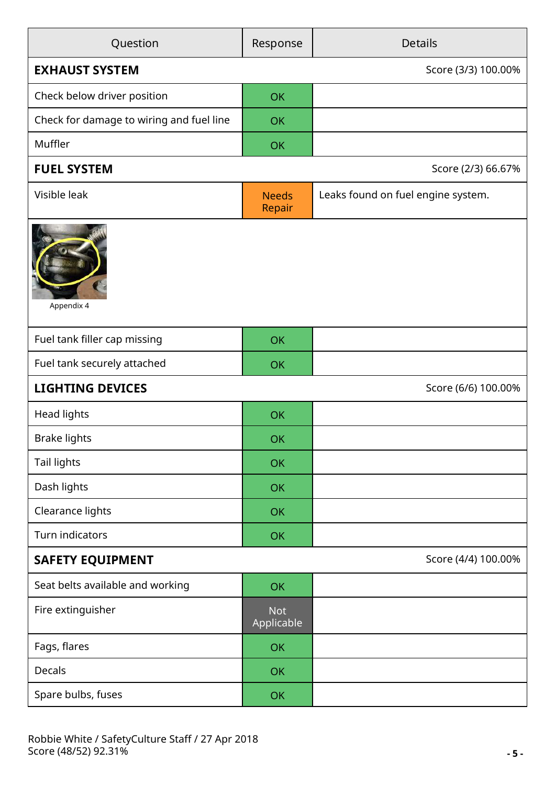| Question                                 | Response                 | <b>Details</b>                     |  |
|------------------------------------------|--------------------------|------------------------------------|--|
| <b>EXHAUST SYSTEM</b>                    |                          | Score (3/3) 100.00%                |  |
| Check below driver position              | <b>OK</b>                |                                    |  |
| Check for damage to wiring and fuel line | <b>OK</b>                |                                    |  |
| Muffler                                  | OK                       |                                    |  |
| <b>FUEL SYSTEM</b>                       |                          | Score (2/3) 66.67%                 |  |
| Visible leak                             | <b>Needs</b><br>Repair   | Leaks found on fuel engine system. |  |
| Appendix 4                               |                          |                                    |  |
| Fuel tank filler cap missing             | <b>OK</b>                |                                    |  |
| Fuel tank securely attached              | OK                       |                                    |  |
| <b>LIGHTING DEVICES</b>                  |                          | Score (6/6) 100.00%                |  |
| Head lights                              | <b>OK</b>                |                                    |  |
| <b>Brake lights</b>                      | OK                       |                                    |  |
| Tail lights                              | <b>OK</b>                |                                    |  |
| Dash lights                              | OK                       |                                    |  |
| Clearance lights                         | <b>OK</b>                |                                    |  |
| Turn indicators                          | OK                       |                                    |  |
| <b>SAFETY EQUIPMENT</b>                  |                          | Score (4/4) 100.00%                |  |
| Seat belts available and working         | <b>OK</b>                |                                    |  |
| Fire extinguisher                        | <b>Not</b><br>Applicable |                                    |  |
| Fags, flares                             | <b>OK</b>                |                                    |  |
| Decals                                   | OK                       |                                    |  |
| Spare bulbs, fuses                       | OK                       |                                    |  |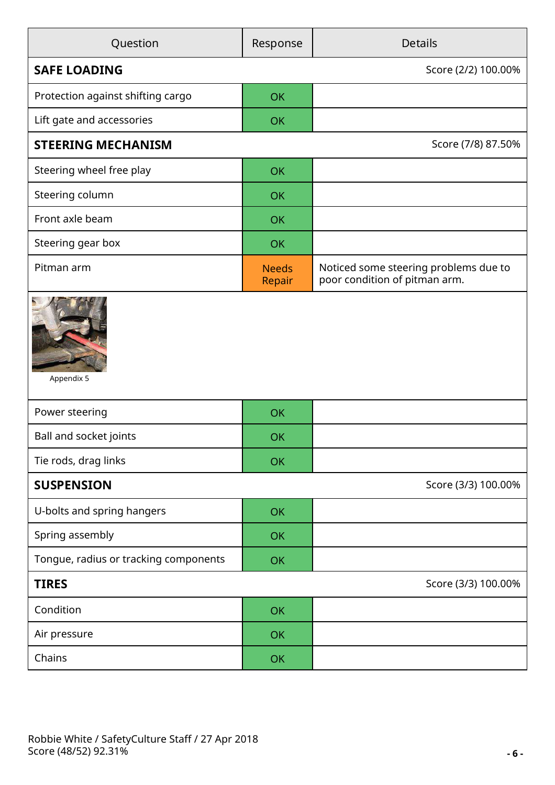| Question                              | Response               | <b>Details</b>                                                         |
|---------------------------------------|------------------------|------------------------------------------------------------------------|
| <b>SAFE LOADING</b>                   |                        | Score (2/2) 100.00%                                                    |
| Protection against shifting cargo     | OK                     |                                                                        |
| Lift gate and accessories             | OK                     |                                                                        |
| <b>STEERING MECHANISM</b>             |                        | Score (7/8) 87.50%                                                     |
| Steering wheel free play              | <b>OK</b>              |                                                                        |
| Steering column                       | OK                     |                                                                        |
| Front axle beam                       | OK                     |                                                                        |
| Steering gear box                     | OK                     |                                                                        |
| Pitman arm                            | <b>Needs</b><br>Repair | Noticed some steering problems due to<br>poor condition of pitman arm. |
| Appendix 5                            |                        |                                                                        |
| Power steering                        | OK                     |                                                                        |
| Ball and socket joints                | OK                     |                                                                        |
| Tie rods, drag links                  | <b>OK</b>              |                                                                        |
| <b>SUSPENSION</b>                     |                        | Score (3/3) 100.00%                                                    |
| U-bolts and spring hangers            | OK                     |                                                                        |
| Spring assembly                       | <b>OK</b>              |                                                                        |
| Tongue, radius or tracking components | OK                     |                                                                        |
| <b>TIRES</b>                          | Score (3/3) 100.00%    |                                                                        |
| Condition                             | OK                     |                                                                        |
| Air pressure                          | OK                     |                                                                        |
| Chains                                | OK                     |                                                                        |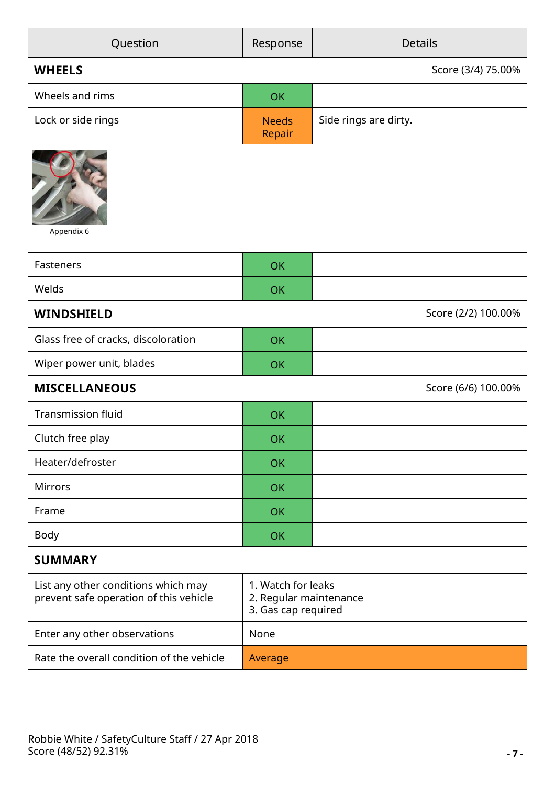| Question                                                                      | Response               | <b>Details</b>                                                      |  |  |
|-------------------------------------------------------------------------------|------------------------|---------------------------------------------------------------------|--|--|
| <b>WHEELS</b>                                                                 |                        | Score (3/4) 75.00%                                                  |  |  |
| Wheels and rims                                                               | OK                     |                                                                     |  |  |
| Lock or side rings                                                            | <b>Needs</b><br>Repair | Side rings are dirty.                                               |  |  |
| Appendix 6                                                                    |                        |                                                                     |  |  |
| Fasteners                                                                     | <b>OK</b>              |                                                                     |  |  |
| Welds                                                                         | <b>OK</b>              |                                                                     |  |  |
| <b>WINDSHIELD</b>                                                             |                        | Score (2/2) 100.00%                                                 |  |  |
| Glass free of cracks, discoloration                                           | <b>OK</b>              |                                                                     |  |  |
| Wiper power unit, blades                                                      | <b>OK</b>              |                                                                     |  |  |
| <b>MISCELLANEOUS</b>                                                          |                        | Score (6/6) 100.00%                                                 |  |  |
| <b>Transmission fluid</b>                                                     | <b>OK</b>              |                                                                     |  |  |
| Clutch free play                                                              | OK                     |                                                                     |  |  |
| Heater/defroster                                                              | <b>OK</b>              |                                                                     |  |  |
| <b>Mirrors</b>                                                                | <b>OK</b>              |                                                                     |  |  |
| Frame                                                                         | <b>OK</b>              |                                                                     |  |  |
| Body                                                                          | <b>OK</b>              |                                                                     |  |  |
| <b>SUMMARY</b>                                                                |                        |                                                                     |  |  |
| List any other conditions which may<br>prevent safe operation of this vehicle |                        | 1. Watch for leaks<br>2. Regular maintenance<br>3. Gas cap required |  |  |
| Enter any other observations                                                  | None                   |                                                                     |  |  |
| Rate the overall condition of the vehicle                                     |                        |                                                                     |  |  |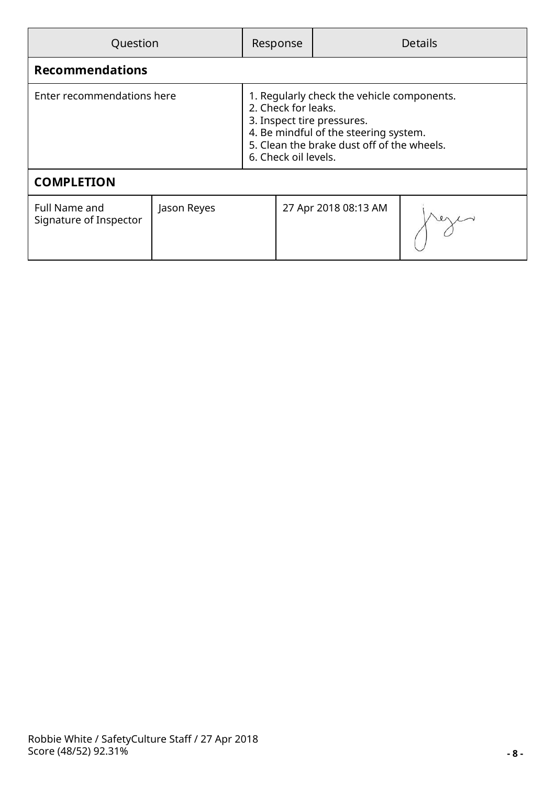| Question                                       |             |                                                                                                                                                                                                                | Response |                      | <b>Details</b> |
|------------------------------------------------|-------------|----------------------------------------------------------------------------------------------------------------------------------------------------------------------------------------------------------------|----------|----------------------|----------------|
| <b>Recommendations</b>                         |             |                                                                                                                                                                                                                |          |                      |                |
| Enter recommendations here                     |             | 1. Regularly check the vehicle components.<br>2. Check for leaks.<br>3. Inspect tire pressures.<br>4. Be mindful of the steering system.<br>5. Clean the brake dust off of the wheels.<br>6. Check oil levels. |          |                      |                |
| <b>COMPLETION</b>                              |             |                                                                                                                                                                                                                |          |                      |                |
| <b>Full Name and</b><br>Signature of Inspector | Jason Reyes |                                                                                                                                                                                                                |          | 27 Apr 2018 08:13 AM |                |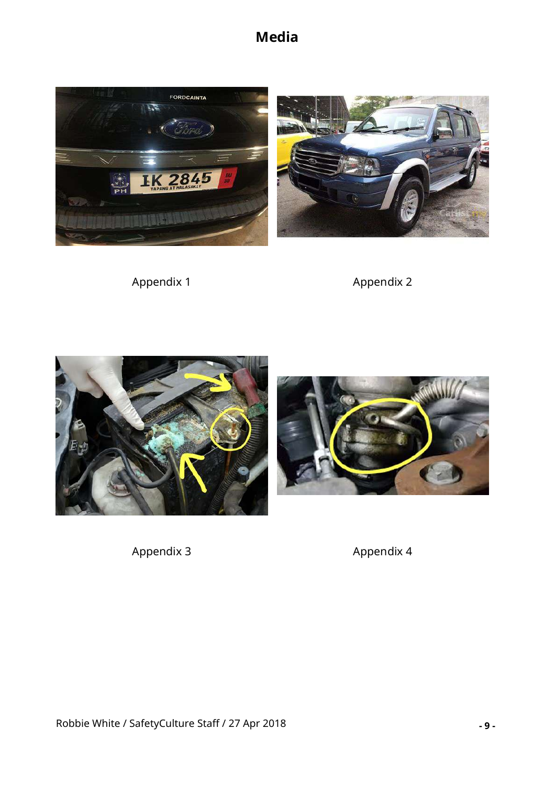





Appendix 1 Appendix 2



Appendix 3 Appendix 4